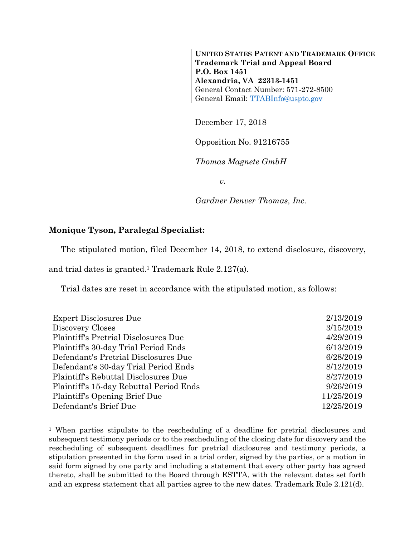**UNITED STATES PATENT AND TRADEMARK OFFICE Trademark Trial and Appeal Board P.O. Box 1451 Alexandria, VA 22313-1451**  General Contact Number: 571-272-8500 General Email: TTABInfo@uspto.gov

December 17, 2018

Opposition No. 91216755

*Thomas Magnete GmbH* 

*v.* 

*Gardner Denver Thomas, Inc.* 

## **Monique Tyson, Paralegal Specialist:**

l

The stipulated motion, filed December 14, 2018, to extend disclosure, discovery,

and trial dates is granted.1 Trademark Rule 2.127(a).

Trial dates are reset in accordance with the stipulated motion, as follows:

| <b>Expert Disclosures Due</b>           | 2/13/2019  |
|-----------------------------------------|------------|
| Discovery Closes                        | 3/15/2019  |
| Plaintiff's Pretrial Disclosures Due    | 4/29/2019  |
| Plaintiff's 30-day Trial Period Ends    | 6/13/2019  |
| Defendant's Pretrial Disclosures Due    | 6/28/2019  |
| Defendant's 30-day Trial Period Ends    | 8/12/2019  |
| Plaintiff's Rebuttal Disclosures Due    | 8/27/2019  |
| Plaintiff's 15-day Rebuttal Period Ends | 9/26/2019  |
| Plaintiff's Opening Brief Due           | 11/25/2019 |
| Defendant's Brief Due                   | 12/25/2019 |

<sup>1</sup> When parties stipulate to the rescheduling of a deadline for pretrial disclosures and subsequent testimony periods or to the rescheduling of the closing date for discovery and the rescheduling of subsequent deadlines for pretrial disclosures and testimony periods, a stipulation presented in the form used in a trial order, signed by the parties, or a motion in said form signed by one party and including a statement that every other party has agreed thereto, shall be submitted to the Board through ESTTA, with the relevant dates set forth and an express statement that all parties agree to the new dates. Trademark Rule 2.121(d).